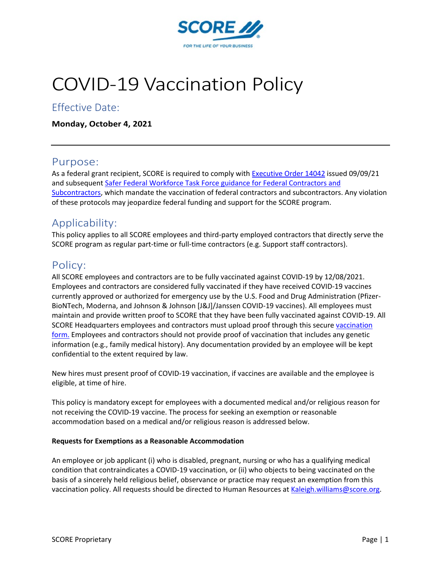

# COVID-19 Vaccination Policy

### Effective Date:

**Monday, October 4, 2021**

#### Purpose:

As a federal grant recipient, SCORE is required to comply with [Executive Order 14042](https://www.whitehouse.gov/covidplan/) issued 09/09/21 and subsequent [Safer Federal Workforce Task Force guidance for Federal Contractors and](https://www.saferfederalworkforce.gov/downloads/Draft%20contractor%20guidance%20doc_20210922.pdf)  [Subcontractors,](https://www.saferfederalworkforce.gov/downloads/Draft%20contractor%20guidance%20doc_20210922.pdf) which mandate the vaccination of federal contractors and subcontractors. Any violation of these protocols may jeopardize federal funding and support for the SCORE program.

## Applicability:

This policy applies to all SCORE employees and third-party employed contractors that directly serve the SCORE program as regular part-time or full-time contractors (e.g. Support staff contractors).

#### Policy:

All SCORE employees and contractors are to be fully vaccinated against COVID-19 by 12/08/2021. Employees and contractors are considered fully vaccinated if they have received COVID-19 vaccines currently approved or authorized for emergency use by the U.S. Food and Drug Administration (Pfizer-BioNTech, Moderna, and Johnson & Johnson [J&J]/Janssen COVID-19 vaccines). All employees must maintain and provide written proof to SCORE that they have been fully vaccinated against COVID-19. All SCORE Headquarters employees and contractors must upload proof through this secure vaccination [form.](https://forms.office.com/r/nMqPTnSMyA) Employees and contractors should not provide proof of vaccination that includes any genetic information (e.g., family medical history). Any documentation provided by an employee will be kept confidential to the extent required by law.

New hires must present proof of COVID-19 vaccination, if vaccines are available and the employee is eligible, at time of hire.

This policy is mandatory except for employees with a documented medical and/or religious reason for not receiving the COVID-19 vaccine. The process for seeking an exemption or reasonable accommodation based on a medical and/or religious reason is addressed below.

#### **Requests for Exemptions as a Reasonable Accommodation**

An employee or job applicant (i) who is disabled, pregnant, nursing or who has a qualifying medical condition that contraindicates a COVID-19 vaccination, or (ii) who objects to being vaccinated on the basis of a sincerely held religious belief, observance or practice may request an exemption from this vaccination policy. All requests should be directed to Human Resources at [Kaleigh.williams@score.org.](mailto:Kaleigh.williams@score.org)